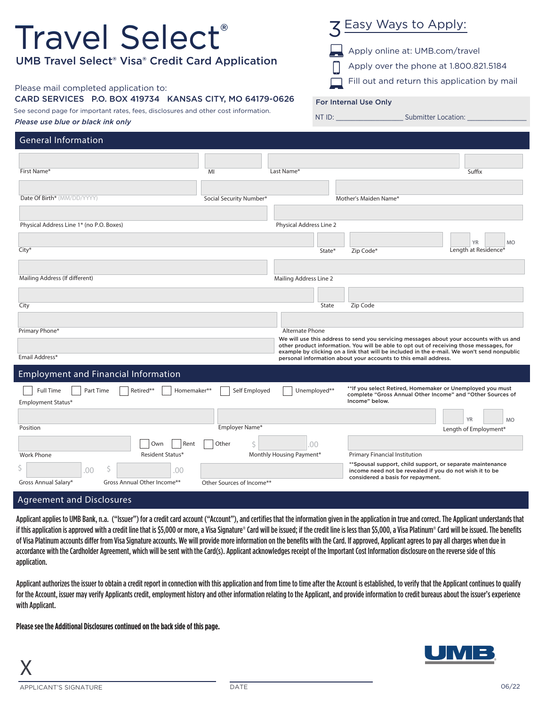| <b>Travel Select</b> ®<br><b>UMB Travel Select<sup>®</sup> Visa<sup>®</sup> Credit Card Application</b><br>Please mail completed application to:<br>CARD SERVICES P.O. BOX 419734 KANSAS CITY, MO 64179-0626 |                                         |                          |              | 3 Easy Ways to Apply:<br>Apply online at: UMB.com/travel<br>Apply over the phone at 1.800.821.5184<br>Fill out and return this application by mail                                                                                                                                                                                                  |
|--------------------------------------------------------------------------------------------------------------------------------------------------------------------------------------------------------------|-----------------------------------------|--------------------------|--------------|-----------------------------------------------------------------------------------------------------------------------------------------------------------------------------------------------------------------------------------------------------------------------------------------------------------------------------------------------------|
| See second page for important rates, fees, disclosures and other cost information.<br>Please use blue or black ink only                                                                                      |                                         |                          |              | For Internal Use Only                                                                                                                                                                                                                                                                                                                               |
| <b>General Information</b>                                                                                                                                                                                   |                                         |                          |              |                                                                                                                                                                                                                                                                                                                                                     |
| First Name*                                                                                                                                                                                                  | MI                                      | Last Name*               |              | Suffix                                                                                                                                                                                                                                                                                                                                              |
| Date Of Birth* (MM/DD/YYYY)                                                                                                                                                                                  | Social Security Number*                 |                          |              | Mother's Maiden Name*                                                                                                                                                                                                                                                                                                                               |
| Physical Address Line 1* (no P.O. Boxes)<br>City <sup>*</sup>                                                                                                                                                |                                         | Physical Address Line 2  | State*       | <b>MO</b><br>Length at Residence*<br>Zip Code*                                                                                                                                                                                                                                                                                                      |
| Mailing Address (If different)                                                                                                                                                                               |                                         | Mailing Address Line 2   |              |                                                                                                                                                                                                                                                                                                                                                     |
| City                                                                                                                                                                                                         |                                         |                          | State        | Zip Code                                                                                                                                                                                                                                                                                                                                            |
| Primary Phone*<br>Email Address*                                                                                                                                                                             |                                         | Alternate Phone          |              | We will use this address to send you servicing messages about your accounts with us and<br>other product information. You will be able to opt out of receiving those messages, for<br>example by clicking on a link that will be included in the e-mail. We won't send nonpublic<br>personal information about your accounts to this email address. |
| <b>Employment and Financial Information</b><br>Full Time<br>Part Time<br>Retired**<br>Homemaker**                                                                                                            | Self Employed                           |                          | Unemployed** | **If you select Retired, Homemaker or Unemployed you must                                                                                                                                                                                                                                                                                           |
| Employment Status*<br>Position                                                                                                                                                                               | Employer Name*                          |                          |              | complete "Gross Annual Other Income" and "Other Sources of<br>Income" below.<br>YR<br>M<br>Length of Employment*                                                                                                                                                                                                                                    |
| Rent<br>Own<br>Resident Status*<br>Work Phone<br>\$<br>Ś<br>.00<br>.00<br>Gross Annual Salary*<br>Gross Annual Other Income**                                                                                | Other<br>Ŝ<br>Other Sources of Income** | Monthly Housing Payment* | .00          | Primary Financial Institution<br>**Spousal support, child support, or separate maintenance<br>income need not be revealed if you do not wish it to be<br>considered a basis for repayment.                                                                                                                                                          |
| . منت الم                                                                                                                                                                                                    |                                         |                          |              |                                                                                                                                                                                                                                                                                                                                                     |

## Agreement and Disclosures

Applicant applies to UMB Bank, n.a. ("Issuer") for a credit card account ("Account"), and certifies that the information given in the application in true and correct. The Applicant understands that if this application is approved with a credit line that is \$5,000 or more, a Visa Signature® Card will be issued; if the credit line is less than \$5,000, a Visa Platinum® Card will be issued. The benefits of Visa Platinum accounts differ from Visa Signature accounts. We will provide more information on the benefits with the Card. If approved, Applicant agrees to pay all charges when due in accordance with the Cardholder Agreement, which will be sent with the Card(s). Applicant acknowledges receipt of the Important Cost Information disclosure on the reverse side of this application.

Applicant authorizes the issuer to obtain a credit report in connection with this application and from time to time after the Account is established, to verify that the Applicant continues to qualify for the Account, issuer may verify Applicants credit, employment history and other information relating to the Applicant, and provide information to credit bureaus about the issuer's experience with Applicant.

**Please see the Additional Disclosures continued on the back side of this page.**